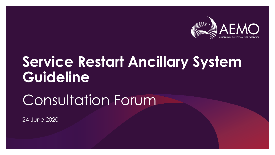

# **Service Restart Ancillary System Guideline**

# Consultation Forum

24 June 2020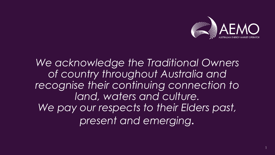

### *We acknowledge the Traditional Owners of country throughout Australia and recognise their continuing connection to land, waters and culture. We pay our respects to their Elders past, present and emerging.*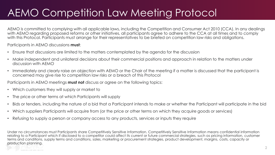### AEMO Competition Law Meeting Protocol

AEMO is committed to complying with all applicable laws, including the Competition and Consumer Act 2010 (CCA). In any dealings with AEMO regarding proposed reforms or other initiatives, all participants agree to adhere to the CCA at all times and to comply with this Protocol. Participants must arrange for their representatives to be briefed on competition law risks and obligations.

Participants in AEMO discussions **must**:

- Ensure that discussions are limited to the matters contemplated by the agenda for the discussion
- Make independent and unilateral decisions about their commercial positions and approach in relation to the matters under discussion with AEMO
- Immediately and clearly raise an objection with AEMO or the Chair of the meeting if a matter is discussed that the participant is concerned may give rise to competition law risks or a breach of this Protocol
- Participants in AEMO meetings **must not** discuss or agree on the following topics:
- Which customers they will supply or market to
- The price or other terms at which Participants will supply
- Bids or tenders, including the nature of a bid that a Participant intends to make or whether the Participant will participate in the bid
- Which suppliers Participants will acquire from (or the price or other terms on which they acquire goods or services)
- Refusing to supply a person or company access to any products, services or inputs they require

Under no circumstances must Participants share Competitively Sensitive Information. Competitively Sensitive Information means confidential information relating to a Participant which if disclosed to a competitor could affect its current or future commercial strategies, such as pricing information, customer terms and conditions, supply terms and conditions, sales, marketing or procurement strategies, product development, margins, costs, capacity or production planning.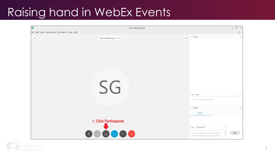### Raising hand in WebEx Events

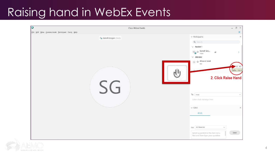### Raising hand in WebEx Events

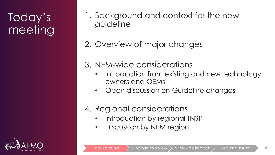## Today's meeting

- 1. Background and context for the new guideline
- 2. Overview of major changes
- 3. NEM-wide considerations
	- Introduction from existing and new technology owners and OEMs
	- Open discussion on Guideline changes

#### 4. Regional considerations

- Introduction by regional TNSP
- Discussion by NEM region

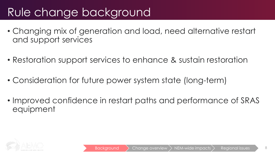### Rule change background

- Changing mix of generation and load, need alternative restart and support services
- Restoration support services to enhance & sustain restoration
- Consideration for future power system state (long-term)
- Improved confidence in restart paths and performance of SRAS equipment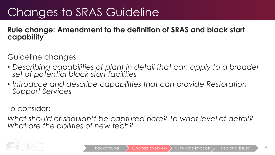#### **Rule change: Amendment to the definition of SRAS and black start capability**

Guideline changes:

- *Describing capabilities of plant in detail that can apply to a broader set of potential black start facilities*
- *Introduce and describe capabilities that can provide Restoration Support Services*

To consider:

*What should or shouldn't be captured here? To what level of detail? What are the abilities of new tech?*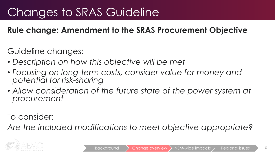#### **Rule change: Amendment to the SRAS Procurement Objective**

Guideline changes:

- *Description on how this objective will be met*
- *Focusing on long-term costs, consider value for money and potential for risk-sharing*
- Allow consideration of the future state of the power system at *procurement*

To consider:

*Are the included modifications to meet objective appropriate?*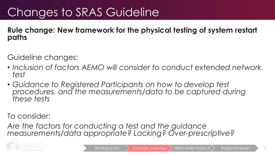**Rule change: New framework for the physical testing of system restart paths**

Guideline changes:

- *Inclusion of factors AEMO will consider to conduct extended network test*
- *Guidance to Registered Participants on how to develop test procedures, and the measurements/data to be captured during these tests*

To consider:

*Are the factors for conducting a test and the guidance measurements/data appropriate? Lacking? Over-prescriptive?*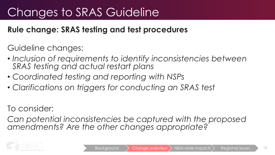#### **Rule change: SRAS testing and test procedures**

Guideline changes:

- *Inclusion of requirements to identify inconsistencies between SRAS testing and actual restart plans*
- *Coordinated testing and reporting with NSPs*
- *Clarifications on triggers for conducting an SRAS test*

To consider:

*Can potential inconsistencies be captured with the proposed amendments? Are the other changes appropriate?*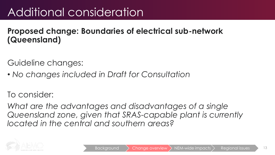## Additional consideration

#### **Proposed change: Boundaries of electrical sub-network (Queensland)**

Guideline changes:

• *No changes included in Draft for Consultation*

To consider:

*What are the advantages and disadvantages of a single Queensland zone, given that SRAS-capable plant is currently located in the central and southern areas?*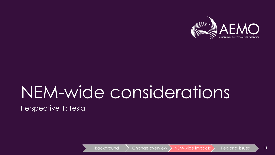

# NEM-wide considerations

Perspective 1: Tesla

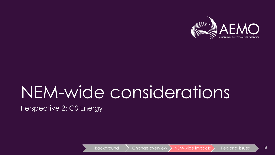

# NEM-wide considerations

Perspective 2: CS Energy

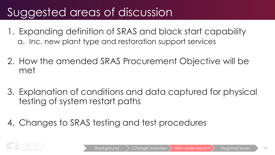## Suggested areas of discussion

- 1. Expanding definition of SRAS and black start capability a. Inc. new plant type and restoration support services
- 2. How the amended SRAS Procurement Objective will be met
- 3. Explanation of conditions and data captured for physical testing of system restart paths
- 4. Changes to SRAS testing and test procedures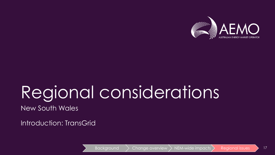

# Regional considerations

New South Wales

Introduction: TransGrid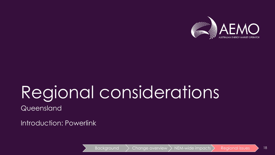

# Regional considerations **Queensland**

Introduction: Powerlink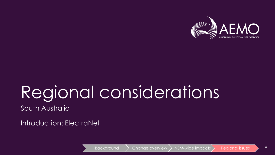

# Regional considerations South Australia

Introduction: ElectraNet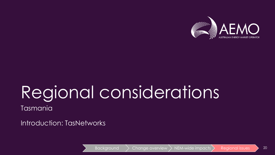

# Regional considerations Tasmania

#### Introduction: TasNetworks

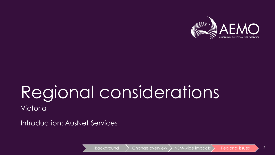

# Regional considerations Victoria

Introduction: AusNet Services